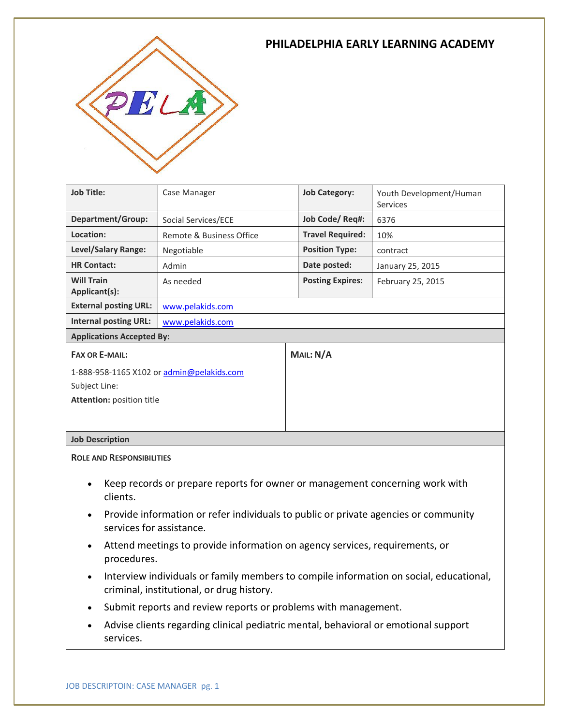### **PHILADELPHIA EARLY LEARNING ACADEMY**



| <b>Job Title:</b>                         | Case Manager             | <b>Job Category:</b>    | Youth Development/Human<br><b>Services</b> |
|-------------------------------------------|--------------------------|-------------------------|--------------------------------------------|
| <b>Department/Group:</b>                  | Social Services/ECE      | Job Code/Req#:          | 6376                                       |
| Location:                                 | Remote & Business Office | <b>Travel Required:</b> | 10%                                        |
| Level/Salary Range:                       | Negotiable               | <b>Position Type:</b>   | contract                                   |
| <b>HR Contact:</b>                        | Admin                    | Date posted:            | January 25, 2015                           |
| <b>Will Train</b><br>Applicant(s):        | As needed                | <b>Posting Expires:</b> | February 25, 2015                          |
| <b>External posting URL:</b>              | www.pelakids.com         |                         |                                            |
| <b>Internal posting URL:</b>              | www.pelakids.com         |                         |                                            |
| <b>Applications Accepted By:</b>          |                          |                         |                                            |
| <b>FAX OR E-MAIL:</b>                     |                          | MAIL: N/A               |                                            |
| 1-888-958-1165 X102 or admin@pelakids.com |                          |                         |                                            |
| Subject Line:                             |                          |                         |                                            |
| <b>Attention: position title</b>          |                          |                         |                                            |
|                                           |                          |                         |                                            |

### **Job Description**

**ROLE AND RESPONSIBILITIES**

- Keep records or prepare reports for owner or management concerning work with clients.
- Provide information or refer individuals to public or private agencies or community services for assistance.
- Attend meetings to provide information on agency services, requirements, or procedures.
- Interview individuals or family members to compile information on social, educational, criminal, institutional, or drug history.
- Submit reports and review reports or problems with management.
- Advise clients regarding clinical pediatric mental, behavioral or emotional support services.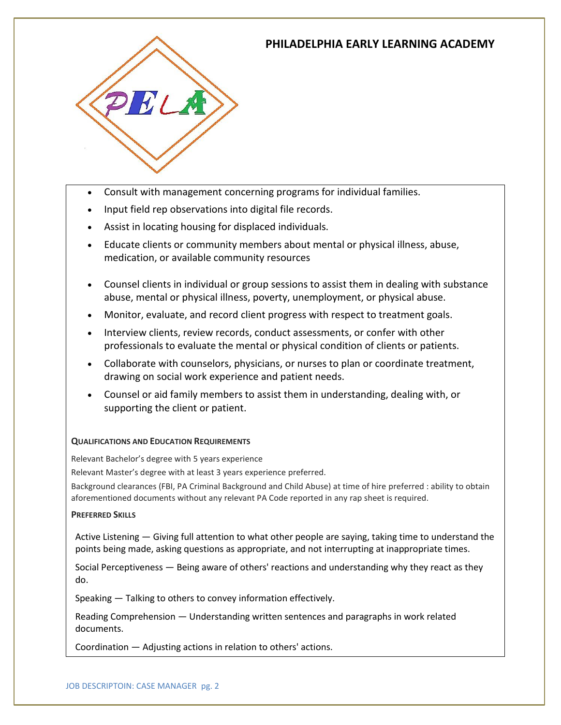# **PHILADELPHIA EARLY LEARNING ACADEMY**



- Consult with management concerning programs for individual families.
- Input field rep observations into digital file records.
- Assist in locating housing for displaced individuals.
- Educate clients or community members about mental or physical illness, abuse, medication, or available community resources
- Counsel clients in individual or group sessions to assist them in dealing with substance abuse, mental or physical illness, poverty, unemployment, or physical abuse.
- Monitor, evaluate, and record client progress with respect to treatment goals.
- Interview clients, review records, conduct assessments, or confer with other professionals to evaluate the mental or physical condition of clients or patients.
- Collaborate with counselors, physicians, or nurses to plan or coordinate treatment, drawing on social work experience and patient needs.
- Counsel or aid family members to assist them in understanding, dealing with, or supporting the client or patient.

### **QUALIFICATIONS AND EDUCATION REQUIREMENTS**

Relevant Bachelor's degree with 5 years experience

Relevant Master's degree with at least 3 years experience preferred.

Background clearances (FBI, PA Criminal Background and Child Abuse) at time of hire preferred : ability to obtain aforementioned documents without any relevant PA Code reported in any rap sheet is required.

#### **PREFERRED SKILLS**

Active Listening — Giving full attention to what other people are saying, taking time to understand the points being made, asking questions as appropriate, and not interrupting at inappropriate times.

Social Perceptiveness — Being aware of others' reactions and understanding why they react as they do.

Speaking — Talking to others to convey information effectively.

Reading Comprehension — Understanding written sentences and paragraphs in work related documents.

Coordination — Adjusting actions in relation to others' actions.